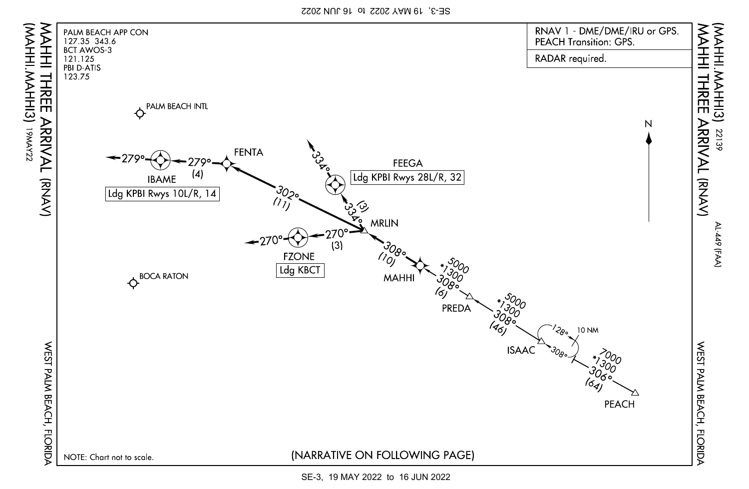SE-3, 19 MAY 2022 to 16 JUN 2022



SE-3, 19 MAY 2022 to 16 JUN 2022